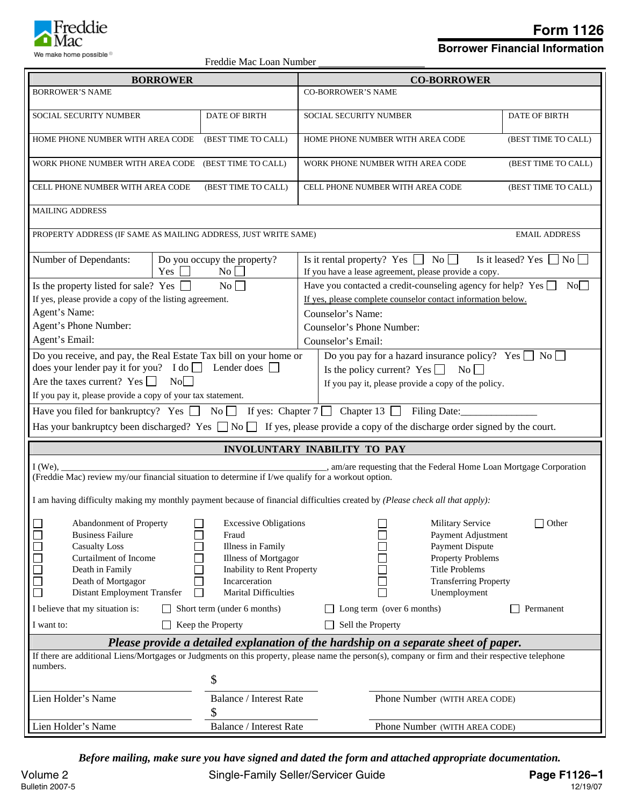

**Borrower Financial Information**

| Freddie Mac Loan Number |  |  |
|-------------------------|--|--|
|-------------------------|--|--|

| <b>BORROWER</b>                                                                                                                                                                                                                                                                                                                                                   | reddie ivide Loan Frannoch                                                                                                                                              | <b>CO-BORROWER</b>                                                                                                                                                                                |                      |  |  |  |
|-------------------------------------------------------------------------------------------------------------------------------------------------------------------------------------------------------------------------------------------------------------------------------------------------------------------------------------------------------------------|-------------------------------------------------------------------------------------------------------------------------------------------------------------------------|---------------------------------------------------------------------------------------------------------------------------------------------------------------------------------------------------|----------------------|--|--|--|
| <b>BORROWER'S NAME</b>                                                                                                                                                                                                                                                                                                                                            |                                                                                                                                                                         | <b>CO-BORROWER'S NAME</b>                                                                                                                                                                         |                      |  |  |  |
|                                                                                                                                                                                                                                                                                                                                                                   |                                                                                                                                                                         |                                                                                                                                                                                                   |                      |  |  |  |
| SOCIAL SECURITY NUMBER                                                                                                                                                                                                                                                                                                                                            | DATE OF BIRTH                                                                                                                                                           | SOCIAL SECURITY NUMBER                                                                                                                                                                            | DATE OF BIRTH        |  |  |  |
| HOME PHONE NUMBER WITH AREA CODE                                                                                                                                                                                                                                                                                                                                  | (BEST TIME TO CALL)                                                                                                                                                     | HOME PHONE NUMBER WITH AREA CODE                                                                                                                                                                  | (BEST TIME TO CALL)  |  |  |  |
| WORK PHONE NUMBER WITH AREA CODE                                                                                                                                                                                                                                                                                                                                  | (BEST TIME TO CALL)                                                                                                                                                     | WORK PHONE NUMBER WITH AREA CODE                                                                                                                                                                  | (BEST TIME TO CALL)  |  |  |  |
| CELL PHONE NUMBER WITH AREA CODE                                                                                                                                                                                                                                                                                                                                  | (BEST TIME TO CALL)                                                                                                                                                     | CELL PHONE NUMBER WITH AREA CODE                                                                                                                                                                  | (BEST TIME TO CALL)  |  |  |  |
| <b>MAILING ADDRESS</b>                                                                                                                                                                                                                                                                                                                                            |                                                                                                                                                                         |                                                                                                                                                                                                   |                      |  |  |  |
| PROPERTY ADDRESS (IF SAME AS MAILING ADDRESS, JUST WRITE SAME)                                                                                                                                                                                                                                                                                                    |                                                                                                                                                                         |                                                                                                                                                                                                   | <b>EMAIL ADDRESS</b> |  |  |  |
| Number of Dependants:<br>Yes [                                                                                                                                                                                                                                                                                                                                    | Do you occupy the property?<br>No                                                                                                                                       | Is it rental property? Yes $\Box$ No $\Box$<br>Is it leased? Yes $\Box$ No<br>If you have a lease agreement, please provide a copy.                                                               |                      |  |  |  |
| Is the property listed for sale? Yes<br>$\blacksquare$                                                                                                                                                                                                                                                                                                            | $\overline{N_0}$                                                                                                                                                        | Have you contacted a credit-counseling agency for help? Yes $\Box$                                                                                                                                | No                   |  |  |  |
| If yes, please provide a copy of the listing agreement.                                                                                                                                                                                                                                                                                                           |                                                                                                                                                                         | If yes, please complete counselor contact information below.                                                                                                                                      |                      |  |  |  |
| Agent's Name:                                                                                                                                                                                                                                                                                                                                                     |                                                                                                                                                                         | Counselor's Name:                                                                                                                                                                                 |                      |  |  |  |
| Agent's Phone Number:                                                                                                                                                                                                                                                                                                                                             |                                                                                                                                                                         | Counselor's Phone Number:                                                                                                                                                                         |                      |  |  |  |
| Agent's Email:                                                                                                                                                                                                                                                                                                                                                    |                                                                                                                                                                         | Counselor's Email:                                                                                                                                                                                |                      |  |  |  |
| Do you receive, and pay, the Real Estate Tax bill on your home or<br>Do you pay for a hazard insurance policy? Yes $\Box$ No $\Box$<br>does your lender pay it for you? I do $\Box$ Lender does $\Box$<br>Is the policy current? Yes $\Box$<br>$\overline{N_0}$<br>Are the taxes current? Yes $\Box$<br>No<br>If you pay it, please provide a copy of the policy. |                                                                                                                                                                         |                                                                                                                                                                                                   |                      |  |  |  |
| If you pay it, please provide a copy of your tax statement.                                                                                                                                                                                                                                                                                                       |                                                                                                                                                                         |                                                                                                                                                                                                   |                      |  |  |  |
|                                                                                                                                                                                                                                                                                                                                                                   |                                                                                                                                                                         | Have you filed for bankruptcy? Yes $\Box$ No $\Box$ If yes: Chapter 7 $\Box$ Chapter 13 $\Box$ Filing Date:                                                                                       |                      |  |  |  |
|                                                                                                                                                                                                                                                                                                                                                                   |                                                                                                                                                                         | Has your bankruptcy been discharged? Yes $\Box$ No $\Box$ If yes, please provide a copy of the discharge order signed by the court.                                                               |                      |  |  |  |
|                                                                                                                                                                                                                                                                                                                                                                   |                                                                                                                                                                         | <b>INVOLUNTARY INABILITY TO PAY</b>                                                                                                                                                               |                      |  |  |  |
| $I$ (We),<br>(Freddie Mac) review my/our financial situation to determine if I/we qualify for a workout option.                                                                                                                                                                                                                                                   |                                                                                                                                                                         |                                                                                                                                                                                                   |                      |  |  |  |
|                                                                                                                                                                                                                                                                                                                                                                   |                                                                                                                                                                         | I am having difficulty making my monthly payment because of financial difficulties created by (Please check all that apply):                                                                      |                      |  |  |  |
| $\blacksquare$<br>Abandonment of Property<br>000000<br><b>Business Failure</b><br><b>Casualty Loss</b><br><b>Curtailment of Income</b><br>Death in Family<br>Death of Mortgagor<br>Distant Employment Transfer<br>$\mathsf{L}$                                                                                                                                    | $\Box$ Excessive Obligations<br>Fraud<br>Illness in Family<br><b>Illness of Mortgagor</b><br>Inability to Rent Property<br>Incarceration<br><b>Marital Difficulties</b> | $\overline{\phantom{0}}$<br><b>Military Service</b><br>Payment Adjustment<br>Payment Dispute<br><b>Property Problems</b><br><b>Title Problems</b><br><b>Transferring Property</b><br>Unemployment | $\Box$ Other         |  |  |  |
| I believe that my situation is:<br>Short term (under 6 months)                                                                                                                                                                                                                                                                                                    | Long term (over 6 months)                                                                                                                                               | Permanent                                                                                                                                                                                         |                      |  |  |  |
| Sell the Property<br>Keep the Property<br>I want to:                                                                                                                                                                                                                                                                                                              |                                                                                                                                                                         |                                                                                                                                                                                                   |                      |  |  |  |
| Please provide a detailed explanation of the hardship on a separate sheet of paper.                                                                                                                                                                                                                                                                               |                                                                                                                                                                         |                                                                                                                                                                                                   |                      |  |  |  |
| If there are additional Liens/Mortgages or Judgments on this property, please name the person(s), company or firm and their respective telephone<br>numbers.                                                                                                                                                                                                      |                                                                                                                                                                         |                                                                                                                                                                                                   |                      |  |  |  |
|                                                                                                                                                                                                                                                                                                                                                                   | \$                                                                                                                                                                      |                                                                                                                                                                                                   |                      |  |  |  |
| Lien Holder's Name                                                                                                                                                                                                                                                                                                                                                | <b>Balance / Interest Rate</b><br>Phone Number (WITH AREA CODE)<br>\$                                                                                                   |                                                                                                                                                                                                   |                      |  |  |  |
| Lien Holder's Name                                                                                                                                                                                                                                                                                                                                                | Balance / Interest Rate                                                                                                                                                 | Phone Number (WITH AREA CODE)                                                                                                                                                                     |                      |  |  |  |

*Before mailing, make sure you have signed and dated the form and attached appropriate documentation.*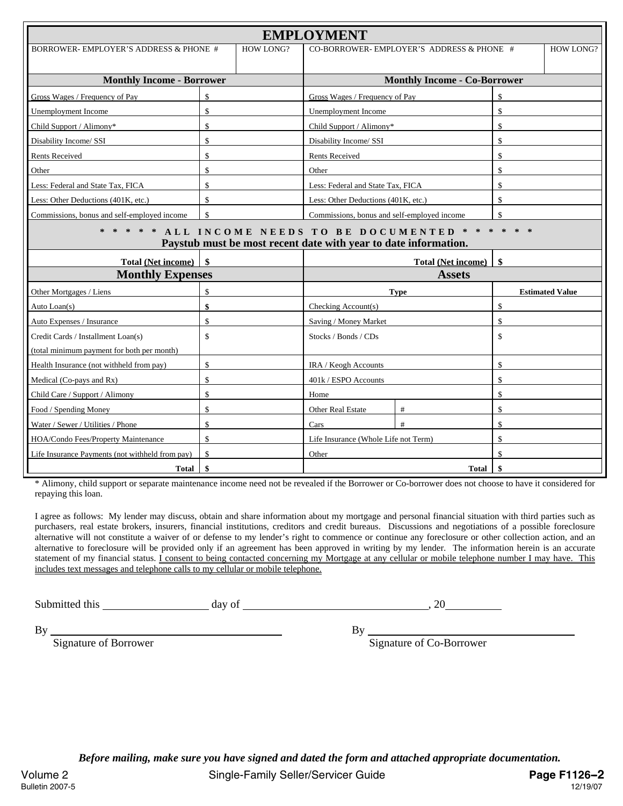| <b>EMPLOYMENT</b>                                  |                                                                                                                    |                                          |                                             |                                     |                        |  |  |
|----------------------------------------------------|--------------------------------------------------------------------------------------------------------------------|------------------------------------------|---------------------------------------------|-------------------------------------|------------------------|--|--|
| BORROWER-EMPLOYER'S ADDRESS & PHONE #<br>HOW LONG? |                                                                                                                    | CO-BORROWER-EMPLOYER'S ADDRESS & PHONE # |                                             | <b>HOW LONG?</b>                    |                        |  |  |
|                                                    |                                                                                                                    |                                          |                                             |                                     |                        |  |  |
| <b>Monthly Income - Borrower</b>                   |                                                                                                                    |                                          |                                             | <b>Monthly Income - Co-Borrower</b> |                        |  |  |
| Gross Wages / Frequency of Pay                     | \$                                                                                                                 |                                          | Gross Wages / Frequency of Pay              | \$                                  |                        |  |  |
| Unemployment Income                                | $\mathsf{\$}$                                                                                                      |                                          | Unemployment Income                         |                                     | \$                     |  |  |
| Child Support / Alimony*                           | \$                                                                                                                 |                                          | Child Support / Alimony*                    |                                     | \$                     |  |  |
| Disability Income/ SSI                             | \$                                                                                                                 |                                          | Disability Income/ SSI                      |                                     | \$                     |  |  |
| <b>Rents Received</b>                              | \$                                                                                                                 |                                          | <b>Rents Received</b>                       |                                     | \$                     |  |  |
| Other                                              | \$                                                                                                                 |                                          | Other                                       |                                     | \$                     |  |  |
| Less: Federal and State Tax, FICA                  | \$                                                                                                                 |                                          | Less: Federal and State Tax, FICA           |                                     | \$                     |  |  |
| Less: Other Deductions (401K, etc.)                | $\mathsf{\$}$                                                                                                      |                                          | Less: Other Deductions (401K, etc.)         |                                     | \$                     |  |  |
| Commissions, bonus and self-employed income        | $\mathsf{\$}$                                                                                                      |                                          | Commissions, bonus and self-employed income |                                     | \$                     |  |  |
|                                                    | * * ALL INCOME NEEDS TO BE DOCUMENTED<br>$\ast$<br>Paystub must be most recent date with year to date information. |                                          |                                             |                                     |                        |  |  |
| <b>Total (Net income)</b>                          | \$                                                                                                                 |                                          |                                             | <b>Total (Net income)</b>           | \$                     |  |  |
| <b>Monthly Expenses</b>                            |                                                                                                                    |                                          |                                             | <b>Assets</b>                       |                        |  |  |
| Other Mortgages / Liens                            | \$                                                                                                                 |                                          | <b>Type</b>                                 |                                     | <b>Estimated Value</b> |  |  |
| Auto Loan(s)                                       | \$                                                                                                                 |                                          | Checking Account(s)                         |                                     | \$                     |  |  |
| Auto Expenses / Insurance                          | $\mathsf{\$}$                                                                                                      |                                          | Saving / Money Market                       |                                     | $\mathsf{\$}$          |  |  |
| Credit Cards / Installment Loan(s)                 | $\mathsf{\$}$                                                                                                      |                                          | Stocks / Bonds / CDs                        |                                     | \$                     |  |  |
| (total minimum payment for both per month)         |                                                                                                                    |                                          |                                             |                                     |                        |  |  |
| Health Insurance (not withheld from pay)           | \$                                                                                                                 |                                          | IRA / Keogh Accounts                        |                                     | \$                     |  |  |
| Medical (Co-pays and Rx)                           | \$                                                                                                                 |                                          | 401k / ESPO Accounts                        |                                     | \$                     |  |  |
| Child Care / Support / Alimony                     | \$                                                                                                                 |                                          | Home                                        |                                     | \$                     |  |  |
| Food / Spending Money                              | \$                                                                                                                 |                                          | <b>Other Real Estate</b>                    | $\#$                                | $\mathsf{\$}$          |  |  |
| Water / Sewer / Utilities / Phone                  | \$                                                                                                                 |                                          | Cars                                        | #                                   | \$                     |  |  |
| HOA/Condo Fees/Property Maintenance                | $\mathbf{\hat{S}}$                                                                                                 |                                          | Life Insurance (Whole Life not Term)        |                                     | \$                     |  |  |
| Life Insurance Payments (not withheld from pay)    | $\mathsf{\$}$                                                                                                      |                                          | \$<br>Other                                 |                                     |                        |  |  |
| <b>Total</b>                                       | \$                                                                                                                 |                                          |                                             | <b>Total</b>                        | \$                     |  |  |

\* Alimony, child support or separate maintenance income need not be revealed if the Borrower or Co-borrower does not choose to have it considered for repaying this loan.

I agree as follows: My lender may discuss, obtain and share information about my mortgage and personal financial situation with third parties such as purchasers, real estate brokers, insurers, financial institutions, creditors and credit bureaus. Discussions and negotiations of a possible foreclosure alternative will not constitute a waiver of or defense to my lender's right to commence or continue any foreclosure or other collection action, and an alternative to foreclosure will be provided only if an agreement has been approved in writing by my lender. The information herein is an accurate statement of my financial status. I consent to being contacted concerning my Mortgage at any cellular or mobile telephone number I may have. This includes text messages and telephone calls to my cellular or mobile telephone.

Submitted this day of , 20

 $By \fbox{By}$ 

Signature of Borrower Signature of Co-Borrower

*Before mailing, make sure you have signed and dated the form and attached appropriate documentation.*  Volume 2 **Conserverse Conserverse Single-Family Seller/Servicer Guide <b>Page F1126-2**<br>Bulletin 2007-5 12/19/07